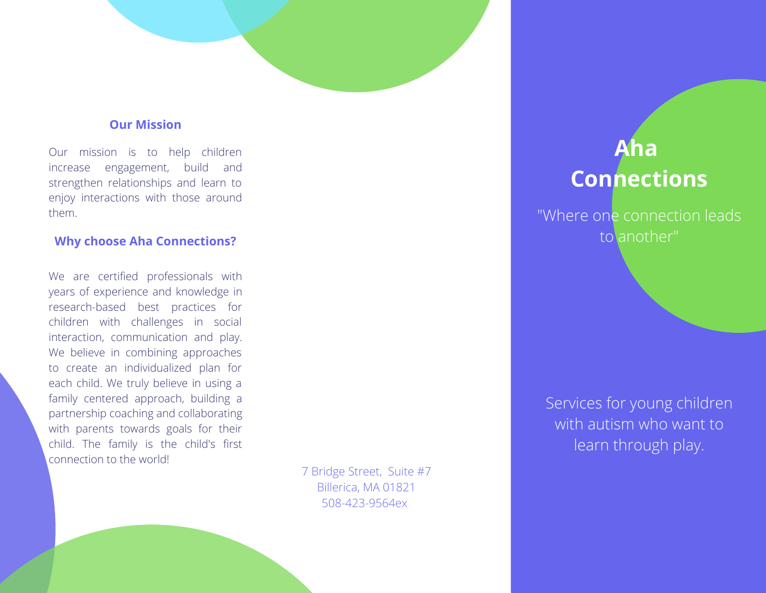#### **Our Mission**

Our mission is to help children increase engagement, build and strengthen relationships and learn to enjoy interactions with those around them.

#### **Why choose Aha Connections?**

We are certified professionals with years of experience and knowledge in research-based best practices for children with challenges in social interaction, communication and play. We believe in combining approaches to create an individualized plan for each child. We truly believe in using a family centered approach, building a partnership coaching and collaborating with parents towards goals for their child. The family is the child's first connection to the world!

7 Bridge Street, Suite #7 Billerica, MA 01821 508-423-9564ex

# **Aha Connections**

"Where one connection leads to another"

Services for young children with autism who want to learn through play.